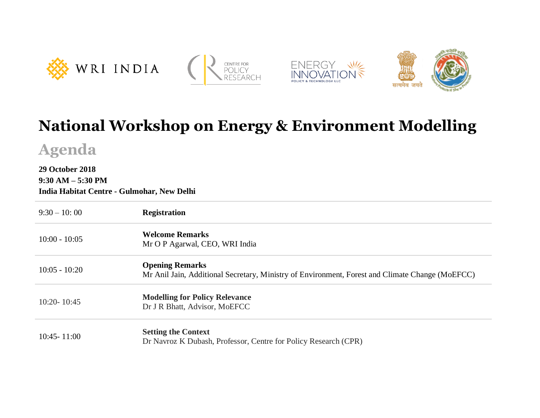







## **National Workshop on Energy & Environment Modelling**

**Agenda**

## **29 October 2018 9:30 AM – 5:30 PM**

**India Habitat Centre - Gulmohar, New Delhi**

| $9:30 - 10:00$  | <b>Registration</b>                                                                                                       |
|-----------------|---------------------------------------------------------------------------------------------------------------------------|
| $10:00 - 10:05$ | <b>Welcome Remarks</b><br>Mr O P Agarwal, CEO, WRI India                                                                  |
| $10:05 - 10:20$ | <b>Opening Remarks</b><br>Mr Anil Jain, Additional Secretary, Ministry of Environment, Forest and Climate Change (MoEFCC) |
| $10:20 - 10:45$ | <b>Modelling for Policy Relevance</b><br>Dr J R Bhatt, Advisor, MoEFCC                                                    |
| $10:45 - 11:00$ | <b>Setting the Context</b><br>Dr Navroz K Dubash, Professor, Centre for Policy Research (CPR)                             |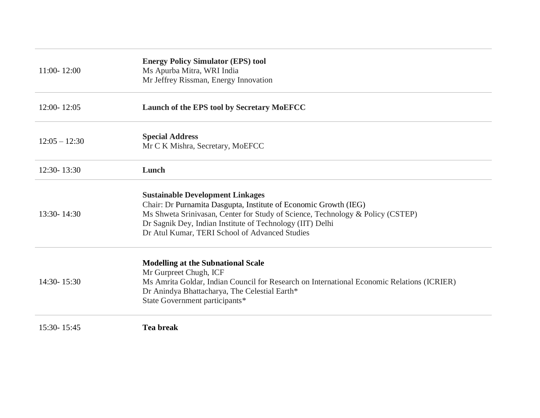| $11:00 - 12:00$ | <b>Energy Policy Simulator (EPS) tool</b><br>Ms Apurba Mitra, WRI India<br>Mr Jeffrey Rissman, Energy Innovation                                                                                                                                                                                             |
|-----------------|--------------------------------------------------------------------------------------------------------------------------------------------------------------------------------------------------------------------------------------------------------------------------------------------------------------|
| 12:00-12:05     | Launch of the EPS tool by Secretary MoEFCC                                                                                                                                                                                                                                                                   |
| $12:05 - 12:30$ | <b>Special Address</b><br>Mr C K Mishra, Secretary, MoEFCC                                                                                                                                                                                                                                                   |
| 12:30-13:30     | Lunch                                                                                                                                                                                                                                                                                                        |
| 13:30-14:30     | <b>Sustainable Development Linkages</b><br>Chair: Dr Purnamita Dasgupta, Institute of Economic Growth (IEG)<br>Ms Shweta Srinivasan, Center for Study of Science, Technology & Policy (CSTEP)<br>Dr Sagnik Dey, Indian Institute of Technology (IIT) Delhi<br>Dr Atul Kumar, TERI School of Advanced Studies |
| 14:30-15:30     | <b>Modelling at the Subnational Scale</b><br>Mr Gurpreet Chugh, ICF<br>Ms Amrita Goldar, Indian Council for Research on International Economic Relations (ICRIER)<br>Dr Anindya Bhattacharya, The Celestial Earth*<br>State Government participants*                                                         |
| 15:30-15:45     | <b>Tea break</b>                                                                                                                                                                                                                                                                                             |